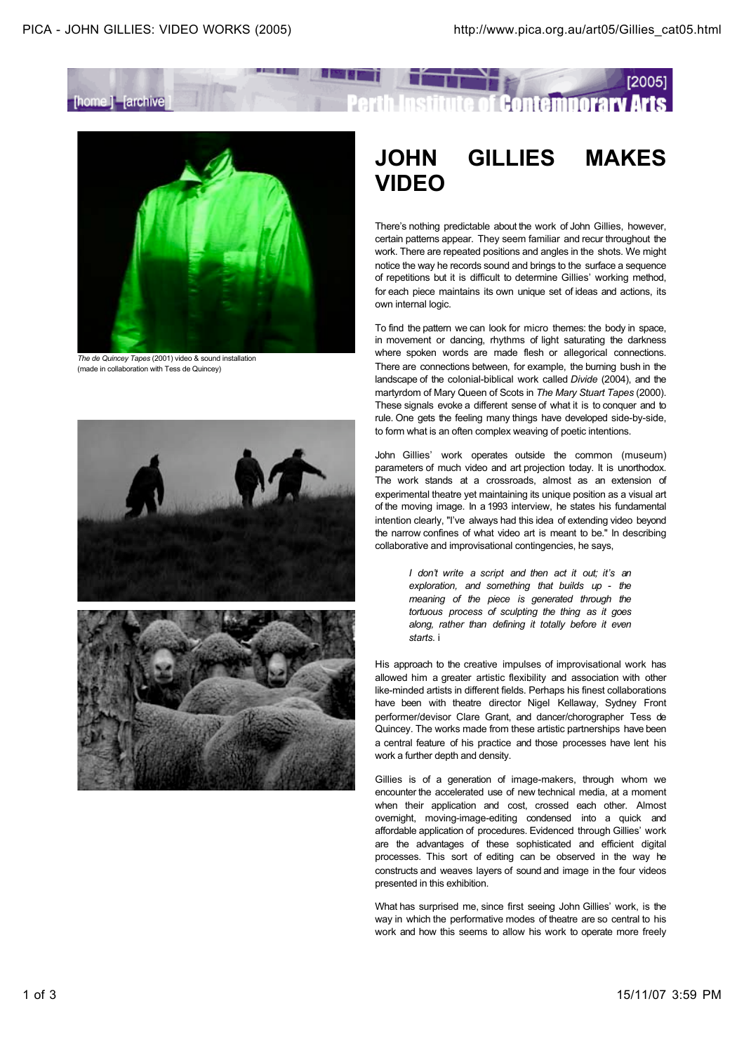

## [2005] **Contemporary Arts**



*The de Quincey Tapes* (2001) video & sound installation (made in collaboration with Tess de Quincey)





## **JOHN GILLIES MAKES VIDEO**

There's nothing predictable about the work of John Gillies, however, certain patterns appear. They seem familiar and recur throughout the work. There are repeated positions and angles in the shots. We might notice the way he records sound and brings to the surface a sequence of repetitions but it is difficult to determine Gillies' working method, for each piece maintains its own unique set of ideas and actions, its own internal logic.

To find the pattern we can look for micro themes: the body in space, in movement or dancing, rhythms of light saturating the darkness where spoken words are made flesh or allegorical connections. There are connections between, for example, the burning bush in the landscape of the colonial-biblical work called *Divide* (2004), and the martyrdom of Mary Queen of Scots in *The Mary Stuart Tapes* (2000). These signals evoke a different sense of what it is to conquer and to rule. One gets the feeling many things have developed side-by-side, to form what is an often complex weaving of poetic intentions.

John Gillies' work operates outside the common (museum) parameters of much video and art projection today. It is unorthodox. The work stands at a crossroads, almost as an extension of experimental theatre yet maintaining its unique position as a visual art of the moving image. In a 1993 interview, he states his fundamental intention clearly, "I've always had this idea of extending video beyond the narrow confines of what video art is meant to be." In describing collaborative and improvisational contingencies, he says,

> *I don't write a script and then act it out; it's an exploration, and something that builds up - the meaning of the piece is generated through the tortuous process of sculpting the thing as it goes along, rather than defining it totally before it even starts.* i

His approach to the creative impulses of improvisational work has allowed him a greater artistic flexibility and association with other like-minded artists in different fields. Perhaps his finest collaborations have been with theatre director Nigel Kellaway, Sydney Front performer/devisor Clare Grant, and dancer/chorographer Tess de Quincey. The works made from these artistic partnerships have been a central feature of his practice and those processes have lent his work a further depth and density.

Gillies is of a generation of image-makers, through whom we encounter the accelerated use of new technical media, at a moment when their application and cost, crossed each other. Almost overnight, moving-image-editing condensed into a quick and affordable application of procedures. Evidenced through Gillies' work are the advantages of these sophisticated and efficient digital processes. This sort of editing can be observed in the way he constructs and weaves layers of sound and image in the four videos presented in this exhibition.

What has surprised me, since first seeing John Gillies' work, is the way in which the performative modes of theatre are so central to his work and how this seems to allow his work to operate more freely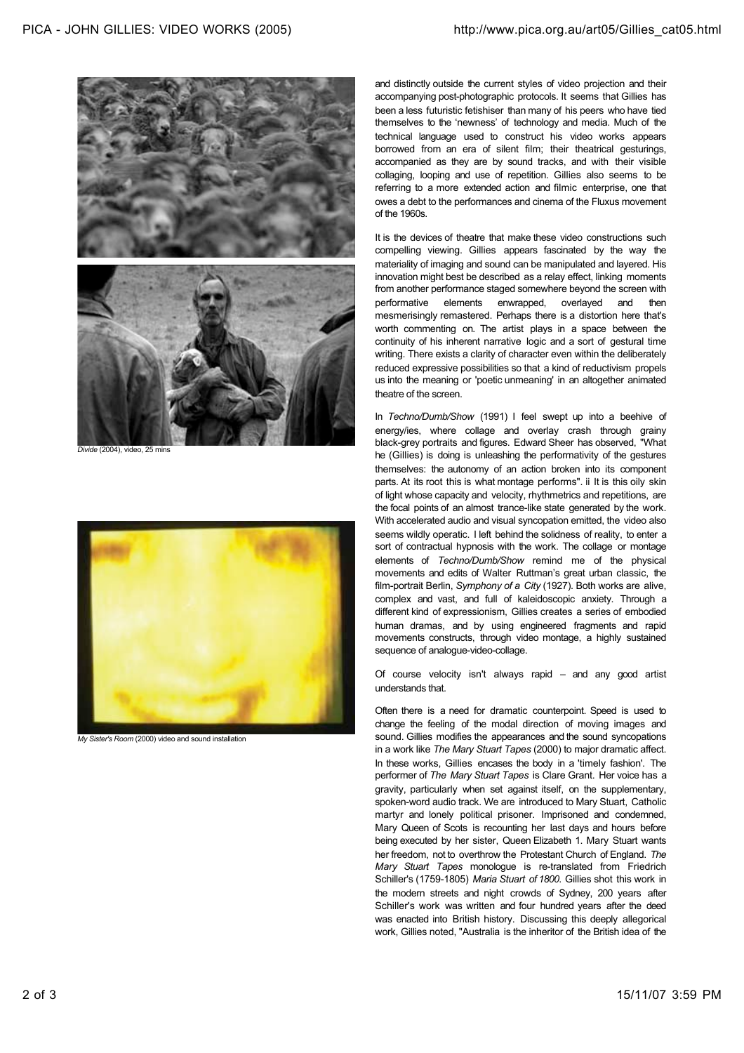

*Divide* (2004), video, 25 mins



*My Sister's Room* (2000) video and sound installation

and distinctly outside the current styles of video projection and their accompanying post-photographic protocols. It seems that Gillies has been a less futuristic fetishiser than many of his peers who have tied themselves to the 'newness' of technology and media. Much of the technical language used to construct his video works appears borrowed from an era of silent film; their theatrical gesturings, accompanied as they are by sound tracks, and with their visible collaging, looping and use of repetition. Gillies also seems to be referring to a more extended action and filmic enterprise, one that owes a debt to the performances and cinema of the Fluxus movement of the 1960s.

It is the devices of theatre that make these video constructions such compelling viewing. Gillies appears fascinated by the way the materiality of imaging and sound can be manipulated and layered. His innovation might best be described as a relay effect, linking moments from another performance staged somewhere beyond the screen with performative elements enwrapped, overlayed and then mesmerisingly remastered. Perhaps there is a distortion here that's worth commenting on. The artist plays in a space between the continuity of his inherent narrative logic and a sort of gestural time writing. There exists a clarity of character even within the deliberately reduced expressive possibilities so that a kind of reductivism propels us into the meaning or 'poetic unmeaning' in an altogether animated theatre of the screen.

In *Techno/Dumb/Show* (1991) I feel swept up into a beehive of energy/ies, where collage and overlay crash through grainy black-grey portraits and figures. Edward Sheer has observed, "What he (Gillies) is doing is unleashing the performativity of the gestures themselves: the autonomy of an action broken into its component parts. At its root this is what montage performs". ii It is this oily skin of light whose capacity and velocity, rhythmetrics and repetitions, are the focal points of an almost trance-like state generated by the work. With accelerated audio and visual syncopation emitted, the video also seems wildly operatic. I left behind the solidness of reality, to enter a sort of contractual hypnosis with the work. The collage or montage elements of *Techno/Dumb/Show* remind me of the physical movements and edits of Walter Ruttman's great urban classic, the film-portrait Berlin, *Symphony of a City* (1927). Both works are alive, complex and vast, and full of kaleidoscopic anxiety. Through a different kind of expressionism, Gillies creates a series of embodied human dramas, and by using engineered fragments and rapid movements constructs, through video montage, a highly sustained sequence of analogue-video-collage.

Of course velocity isn't always rapid – and any good artist understands that.

Often there is a need for dramatic counterpoint. Speed is used to change the feeling of the modal direction of moving images and sound. Gillies modifies the appearances and the sound syncopations in a work like *The Mary Stuart Tapes* (2000) to major dramatic affect. In these works, Gillies encases the body in a 'timely fashion'. The performer of *The Mary Stuart Tapes* is Clare Grant. Her voice has a gravity, particularly when set against itself, on the supplementary, spoken-word audio track. We are introduced to Mary Stuart, Catholic martyr and lonely political prisoner. Imprisoned and condemned, Mary Queen of Scots is recounting her last days and hours before being executed by her sister, Queen Elizabeth 1. Mary Stuart wants her freedom, not to overthrow the Protestant Church of England. *The Mary Stuart Tapes* monologue is re-translated from Friedrich Schiller's (1759-1805) *Maria Stuart of 1800*. Gillies shot this work in the modern streets and night crowds of Sydney, 200 years after Schiller's work was written and four hundred years after the deed was enacted into British history. Discussing this deeply allegorical work, Gillies noted, "Australia is the inheritor of the British idea of the